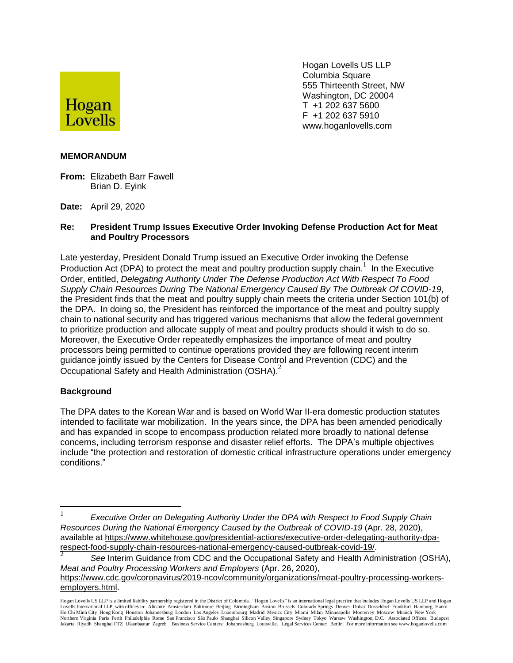

Hogan Lovells US LLP Columbia Square 555 Thirteenth Street, NW Washington, DC 20004 T +1 202 637 5600 F +1 202 637 5910 www.hoganlovells.com

## **MEMORANDUM**

- **From:** Elizabeth Barr Fawell Brian D. Eyink
- **Date:** April 29, 2020

## **Re: President Trump Issues Executive Order Invoking Defense Production Act for Meat and Poultry Processors**

Late yesterday, President Donald Trump issued an Executive Order invoking the Defense Production Act (DPA) to protect the meat and poultry production supply chain.<sup>1</sup> In the Executive Order, entitled, *Delegating Authority Under The Defense Production Act With Respect To Food Supply Chain Resources During The National Emergency Caused By The Outbreak Of COVID-19*, the President finds that the meat and poultry supply chain meets the criteria under Section 101(b) of the DPA. In doing so, the President has reinforced the importance of the meat and poultry supply chain to national security and has triggered various mechanisms that allow the federal government to prioritize production and allocate supply of meat and poultry products should it wish to do so. Moreover, the Executive Order repeatedly emphasizes the importance of meat and poultry processors being permitted to continue operations provided they are following recent interim guidance jointly issued by the Centers for Disease Control and Prevention (CDC) and the Occupational Safety and Health Administration (OSHA). $^2$ 

## **Background**

 $\overline{a}$ 

The DPA dates to the Korean War and is based on World War II-era domestic production statutes intended to facilitate war mobilization. In the years since, the DPA has been amended periodically and has expanded in scope to encompass production related more broadly to national defense concerns, including terrorism response and disaster relief efforts. The DPA's multiple objectives include "the protection and restoration of domestic critical infrastructure operations under emergency conditions."

<sup>1</sup> *Executive Order on Delegating Authority Under the DPA with Respect to Food Supply Chain Resources During the National Emergency Caused by the Outbreak of COVID-19* (Apr. 28, 2020), available at [https://www.whitehouse.gov/presidential-actions/executive-order-delegating-authority-dpa](https://www.whitehouse.gov/presidential-actions/executive-order-delegating-authority-dpa-respect-food-supply-chain-resources-national-emergency-caused-outbreak-covid-19/)[respect-food-supply-chain-resources-national-emergency-caused-outbreak-covid-19/.](https://www.whitehouse.gov/presidential-actions/executive-order-delegating-authority-dpa-respect-food-supply-chain-resources-national-emergency-caused-outbreak-covid-19/)

<sup>2</sup> *See* Interim Guidance from CDC and the Occupational Safety and Health Administration (OSHA), *Meat and Poultry Processing Workers and Employers* (Apr. 26, 2020), [https://www.cdc.gov/coronavirus/2019-ncov/community/organizations/meat-poultry-processing-workers](https://www.cdc.gov/coronavirus/2019-ncov/community/organizations/meat-poultry-processing-workers-employers.html)[employers.html.](https://www.cdc.gov/coronavirus/2019-ncov/community/organizations/meat-poultry-processing-workers-employers.html)

Hogan Lovells US LLP is a limited liability partnership registered in the District of Columbia. "Hogan Lovells" is an international legal practice that includes Hogan Lovells US LLP and Hogan Lovells International LLP, with offices in: Alicante Amsterdam Baltimore Beijing Birmingham Boston Brussels Colorado Springs Denver Dubai Dusseldorf Frankfurt Hamburg Hanoi<br>Ho Chi Minh City Hong Kong Houston Johannesburg L Northern Virginia Paris Perth Philadelphia Rome San Francisco São Paulo Shanghai Silicon Valley Singapore Sydney Tokyo Warsaw Washington, D.C. Associated Offices: Budapest Jakarta Riyadh Shanghai FTZ Ulaanbaatar Zagreb. Business Service Centers: Johannesburg Louisville. Legal Services Center: Berlin. For more information see www.hoganlovells.com